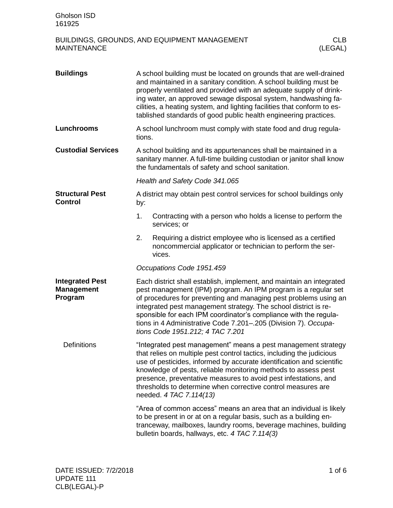| <b>Buildings</b>                                       |                                                                                                                                                                                                                                                                                                                                                                                                                                                 | A school building must be located on grounds that are well-drained<br>and maintained in a sanitary condition. A school building must be<br>properly ventilated and provided with an adequate supply of drink-<br>ing water, an approved sewage disposal system, handwashing fa-<br>cilities, a heating system, and lighting facilities that conform to es-<br>tablished standards of good public health engineering practices.                           |  |  |
|--------------------------------------------------------|-------------------------------------------------------------------------------------------------------------------------------------------------------------------------------------------------------------------------------------------------------------------------------------------------------------------------------------------------------------------------------------------------------------------------------------------------|----------------------------------------------------------------------------------------------------------------------------------------------------------------------------------------------------------------------------------------------------------------------------------------------------------------------------------------------------------------------------------------------------------------------------------------------------------|--|--|
| Lunchrooms                                             | tions.                                                                                                                                                                                                                                                                                                                                                                                                                                          | A school lunchroom must comply with state food and drug regula-                                                                                                                                                                                                                                                                                                                                                                                          |  |  |
| <b>Custodial Services</b>                              | A school building and its appurtenances shall be maintained in a<br>sanitary manner. A full-time building custodian or janitor shall know<br>the fundamentals of safety and school sanitation.                                                                                                                                                                                                                                                  |                                                                                                                                                                                                                                                                                                                                                                                                                                                          |  |  |
|                                                        | Health and Safety Code 341.065                                                                                                                                                                                                                                                                                                                                                                                                                  |                                                                                                                                                                                                                                                                                                                                                                                                                                                          |  |  |
| <b>Structural Pest</b><br><b>Control</b>               | by:                                                                                                                                                                                                                                                                                                                                                                                                                                             | A district may obtain pest control services for school buildings only                                                                                                                                                                                                                                                                                                                                                                                    |  |  |
|                                                        | 1.                                                                                                                                                                                                                                                                                                                                                                                                                                              | Contracting with a person who holds a license to perform the<br>services; or                                                                                                                                                                                                                                                                                                                                                                             |  |  |
|                                                        | 2.                                                                                                                                                                                                                                                                                                                                                                                                                                              | Requiring a district employee who is licensed as a certified<br>noncommercial applicator or technician to perform the ser-<br>vices.                                                                                                                                                                                                                                                                                                                     |  |  |
|                                                        |                                                                                                                                                                                                                                                                                                                                                                                                                                                 | Occupations Code 1951.459                                                                                                                                                                                                                                                                                                                                                                                                                                |  |  |
| <b>Integrated Pest</b><br><b>Management</b><br>Program |                                                                                                                                                                                                                                                                                                                                                                                                                                                 | Each district shall establish, implement, and maintain an integrated<br>pest management (IPM) program. An IPM program is a regular set<br>of procedures for preventing and managing pest problems using an<br>integrated pest management strategy. The school district is re-<br>sponsible for each IPM coordinator's compliance with the regula-<br>tions in 4 Administrative Code 7.201-.205 (Division 7). Occupa-<br>tions Code 1951.212; 4 TAC 7.201 |  |  |
| <b>Definitions</b>                                     | "Integrated pest management" means a pest management strategy<br>that relies on multiple pest control tactics, including the judicious<br>use of pesticides, informed by accurate identification and scientific<br>knowledge of pests, reliable monitoring methods to assess pest<br>presence, preventative measures to avoid pest infestations, and<br>thresholds to determine when corrective control measures are<br>needed. 4 TAC 7.114(13) |                                                                                                                                                                                                                                                                                                                                                                                                                                                          |  |  |
|                                                        |                                                                                                                                                                                                                                                                                                                                                                                                                                                 | "Area of common access" means an area that an individual is likely<br>to be present in or at on a regular basis, such as a building en-<br>tranceway, mailboxes, laundry rooms, beverage machines, building<br>bulletin boards, hallways, etc. 4 TAC 7.114(3)                                                                                                                                                                                            |  |  |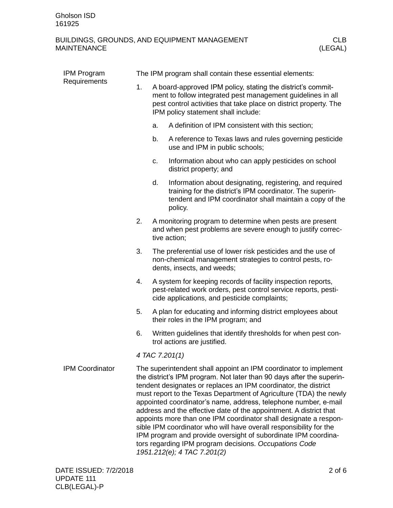| <b>IPM Program</b><br>Requirements | The IPM program shall contain these essential elements: |    |                                                                                                                                                                                                                                                                                                                                                                                                                                                                                                                                                                                                                                                                                                                                  |  |  |
|------------------------------------|---------------------------------------------------------|----|----------------------------------------------------------------------------------------------------------------------------------------------------------------------------------------------------------------------------------------------------------------------------------------------------------------------------------------------------------------------------------------------------------------------------------------------------------------------------------------------------------------------------------------------------------------------------------------------------------------------------------------------------------------------------------------------------------------------------------|--|--|
|                                    | 1.                                                      |    | A board-approved IPM policy, stating the district's commit-<br>ment to follow integrated pest management guidelines in all<br>pest control activities that take place on district property. The<br>IPM policy statement shall include:                                                                                                                                                                                                                                                                                                                                                                                                                                                                                           |  |  |
|                                    |                                                         | a. | A definition of IPM consistent with this section;                                                                                                                                                                                                                                                                                                                                                                                                                                                                                                                                                                                                                                                                                |  |  |
|                                    |                                                         | b. | A reference to Texas laws and rules governing pesticide<br>use and IPM in public schools;                                                                                                                                                                                                                                                                                                                                                                                                                                                                                                                                                                                                                                        |  |  |
|                                    |                                                         | c. | Information about who can apply pesticides on school<br>district property; and                                                                                                                                                                                                                                                                                                                                                                                                                                                                                                                                                                                                                                                   |  |  |
|                                    |                                                         | d. | Information about designating, registering, and required<br>training for the district's IPM coordinator. The superin-<br>tendent and IPM coordinator shall maintain a copy of the<br>policy.                                                                                                                                                                                                                                                                                                                                                                                                                                                                                                                                     |  |  |
|                                    | 2.                                                      |    | A monitoring program to determine when pests are present<br>and when pest problems are severe enough to justify correc-<br>tive action;                                                                                                                                                                                                                                                                                                                                                                                                                                                                                                                                                                                          |  |  |
|                                    | 3.                                                      |    | The preferential use of lower risk pesticides and the use of<br>non-chemical management strategies to control pests, ro-<br>dents, insects, and weeds;                                                                                                                                                                                                                                                                                                                                                                                                                                                                                                                                                                           |  |  |
|                                    | 4.                                                      |    | A system for keeping records of facility inspection reports,<br>pest-related work orders, pest control service reports, pesti-<br>cide applications, and pesticide complaints;                                                                                                                                                                                                                                                                                                                                                                                                                                                                                                                                                   |  |  |
|                                    | 5.                                                      |    | A plan for educating and informing district employees about<br>their roles in the IPM program; and                                                                                                                                                                                                                                                                                                                                                                                                                                                                                                                                                                                                                               |  |  |
|                                    | 6.                                                      |    | Written guidelines that identify thresholds for when pest con-<br>trol actions are justified.                                                                                                                                                                                                                                                                                                                                                                                                                                                                                                                                                                                                                                    |  |  |
|                                    | 4 TAC 7.201(1)                                          |    |                                                                                                                                                                                                                                                                                                                                                                                                                                                                                                                                                                                                                                                                                                                                  |  |  |
| <b>IPM Coordinator</b>             |                                                         |    | The superintendent shall appoint an IPM coordinator to implement<br>the district's IPM program. Not later than 90 days after the superin-<br>tendent designates or replaces an IPM coordinator, the district<br>must report to the Texas Department of Agriculture (TDA) the newly<br>appointed coordinator's name, address, telephone number, e-mail<br>address and the effective date of the appointment. A district that<br>appoints more than one IPM coordinator shall designate a respon-<br>sible IPM coordinator who will have overall responsibility for the<br>IPM program and provide oversight of subordinate IPM coordina-<br>tors regarding IPM program decisions. Occupations Code<br>1951.212(e); 4 TAC 7.201(2) |  |  |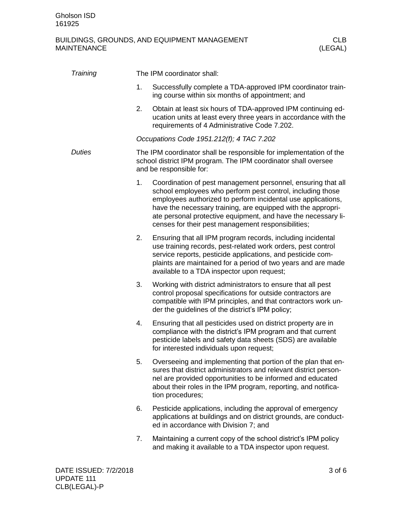| Training      |    | The IPM coordinator shall:                                                                                                                                                                                                                                                                                                                                                        |
|---------------|----|-----------------------------------------------------------------------------------------------------------------------------------------------------------------------------------------------------------------------------------------------------------------------------------------------------------------------------------------------------------------------------------|
|               | 1. | Successfully complete a TDA-approved IPM coordinator train-<br>ing course within six months of appointment; and                                                                                                                                                                                                                                                                   |
|               | 2. | Obtain at least six hours of TDA-approved IPM continuing ed-<br>ucation units at least every three years in accordance with the<br>requirements of 4 Administrative Code 7.202.                                                                                                                                                                                                   |
|               |    | Occupations Code 1951.212(f); 4 TAC 7.202                                                                                                                                                                                                                                                                                                                                         |
| <b>Duties</b> |    | The IPM coordinator shall be responsible for implementation of the<br>school district IPM program. The IPM coordinator shall oversee<br>and be responsible for:                                                                                                                                                                                                                   |
|               | 1. | Coordination of pest management personnel, ensuring that all<br>school employees who perform pest control, including those<br>employees authorized to perform incidental use applications,<br>have the necessary training, are equipped with the appropri-<br>ate personal protective equipment, and have the necessary li-<br>censes for their pest management responsibilities; |
|               | 2. | Ensuring that all IPM program records, including incidental<br>use training records, pest-related work orders, pest control<br>service reports, pesticide applications, and pesticide com-<br>plaints are maintained for a period of two years and are made<br>available to a TDA inspector upon request;                                                                         |
|               | 3. | Working with district administrators to ensure that all pest<br>control proposal specifications for outside contractors are<br>compatible with IPM principles, and that contractors work un-<br>der the guidelines of the district's IPM policy;                                                                                                                                  |
|               | 4. | Ensuring that all pesticides used on district property are in<br>compliance with the district's IPM program and that current<br>pesticide labels and safety data sheets (SDS) are available<br>for interested individuals upon request;                                                                                                                                           |
|               | 5. | Overseeing and implementing that portion of the plan that en-<br>sures that district administrators and relevant district person-<br>nel are provided opportunities to be informed and educated<br>about their roles in the IPM program, reporting, and notifica-<br>tion procedures;                                                                                             |
|               | 6. | Pesticide applications, including the approval of emergency<br>applications at buildings and on district grounds, are conduct-<br>ed in accordance with Division 7; and                                                                                                                                                                                                           |
|               | 7. | Maintaining a current copy of the school district's IPM policy<br>and making it available to a TDA inspector upon request.                                                                                                                                                                                                                                                        |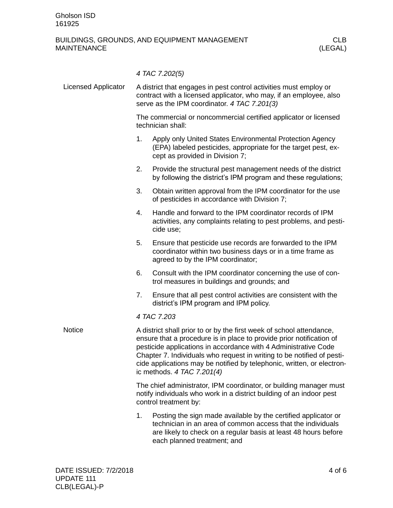|                            |                                                                                                                                                                                                                                                                                                                                                                                                     | 4 TAC 7.202(5)                                                                                                                                                                                   |  |  |
|----------------------------|-----------------------------------------------------------------------------------------------------------------------------------------------------------------------------------------------------------------------------------------------------------------------------------------------------------------------------------------------------------------------------------------------------|--------------------------------------------------------------------------------------------------------------------------------------------------------------------------------------------------|--|--|
| <b>Licensed Applicator</b> | A district that engages in pest control activities must employ or<br>contract with a licensed applicator, who may, if an employee, also<br>serve as the IPM coordinator. 4 TAC 7.201(3)                                                                                                                                                                                                             |                                                                                                                                                                                                  |  |  |
|                            | The commercial or noncommercial certified applicator or licensed<br>technician shall:                                                                                                                                                                                                                                                                                                               |                                                                                                                                                                                                  |  |  |
|                            | 1.                                                                                                                                                                                                                                                                                                                                                                                                  | Apply only United States Environmental Protection Agency<br>(EPA) labeled pesticides, appropriate for the target pest, ex-<br>cept as provided in Division 7;                                    |  |  |
|                            | 2.                                                                                                                                                                                                                                                                                                                                                                                                  | Provide the structural pest management needs of the district<br>by following the district's IPM program and these regulations;                                                                   |  |  |
|                            | 3.                                                                                                                                                                                                                                                                                                                                                                                                  | Obtain written approval from the IPM coordinator for the use<br>of pesticides in accordance with Division 7;                                                                                     |  |  |
|                            | 4.                                                                                                                                                                                                                                                                                                                                                                                                  | Handle and forward to the IPM coordinator records of IPM<br>activities, any complaints relating to pest problems, and pesti-<br>cide use;                                                        |  |  |
|                            | 5.                                                                                                                                                                                                                                                                                                                                                                                                  | Ensure that pesticide use records are forwarded to the IPM<br>coordinator within two business days or in a time frame as<br>agreed to by the IPM coordinator;                                    |  |  |
|                            | 6.                                                                                                                                                                                                                                                                                                                                                                                                  | Consult with the IPM coordinator concerning the use of con-<br>trol measures in buildings and grounds; and                                                                                       |  |  |
|                            | 7.                                                                                                                                                                                                                                                                                                                                                                                                  | Ensure that all pest control activities are consistent with the<br>district's IPM program and IPM policy.                                                                                        |  |  |
|                            | 4 TAC 7.203                                                                                                                                                                                                                                                                                                                                                                                         |                                                                                                                                                                                                  |  |  |
| <b>Notice</b>              | A district shall prior to or by the first week of school attendance,<br>ensure that a procedure is in place to provide prior notification of<br>pesticide applications in accordance with 4 Administrative Code<br>Chapter 7. Individuals who request in writing to be notified of pesti-<br>cide applications may be notified by telephonic, written, or electron-<br>ic methods. $4$ TAC 7.201(4) |                                                                                                                                                                                                  |  |  |
|                            | The chief administrator, IPM coordinator, or building manager must<br>notify individuals who work in a district building of an indoor pest<br>control treatment by:                                                                                                                                                                                                                                 |                                                                                                                                                                                                  |  |  |
|                            | 1.                                                                                                                                                                                                                                                                                                                                                                                                  | Posting the sign made available by the certified applicator or<br>technician in an area of common access that the individuals<br>are likely to check on a regular basis at least 48 hours before |  |  |

each planned treatment; and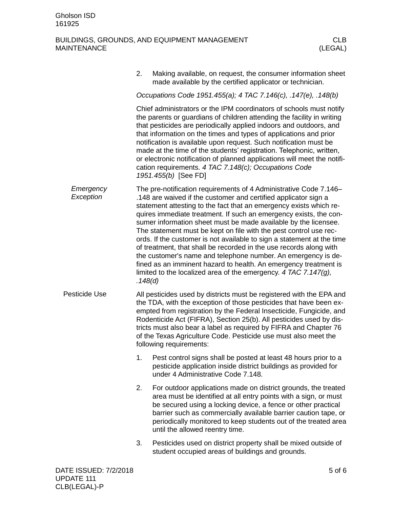|                        | 2.                                                                                                                                                                                                                                                                                                                                                                                                                                                                                                                                                                                                 | Making available, on request, the consumer information sheet<br>made available by the certified applicator or technician.                                                                                                                                                                                                                                                                                                                                                                                                                                                                                                                                                                                                                                                           |  |  |  |
|------------------------|----------------------------------------------------------------------------------------------------------------------------------------------------------------------------------------------------------------------------------------------------------------------------------------------------------------------------------------------------------------------------------------------------------------------------------------------------------------------------------------------------------------------------------------------------------------------------------------------------|-------------------------------------------------------------------------------------------------------------------------------------------------------------------------------------------------------------------------------------------------------------------------------------------------------------------------------------------------------------------------------------------------------------------------------------------------------------------------------------------------------------------------------------------------------------------------------------------------------------------------------------------------------------------------------------------------------------------------------------------------------------------------------------|--|--|--|
|                        | Occupations Code 1951.455(a); 4 TAC 7.146(c), .147(e), .148(b)                                                                                                                                                                                                                                                                                                                                                                                                                                                                                                                                     |                                                                                                                                                                                                                                                                                                                                                                                                                                                                                                                                                                                                                                                                                                                                                                                     |  |  |  |
|                        | Chief administrators or the IPM coordinators of schools must notify<br>the parents or guardians of children attending the facility in writing<br>that pesticides are periodically applied indoors and outdoors, and<br>that information on the times and types of applications and prior<br>notification is available upon request. Such notification must be<br>made at the time of the students' registration. Telephonic, written,<br>or electronic notification of planned applications will meet the notifi-<br>cation requirements. 4 TAC 7.148(c); Occupations Code<br>1951.455(b) [See FD] |                                                                                                                                                                                                                                                                                                                                                                                                                                                                                                                                                                                                                                                                                                                                                                                     |  |  |  |
| Emergency<br>Exception | .148(d)                                                                                                                                                                                                                                                                                                                                                                                                                                                                                                                                                                                            | The pre-notification requirements of 4 Administrative Code 7.146–<br>.148 are waived if the customer and certified applicator sign a<br>statement attesting to the fact that an emergency exists which re-<br>quires immediate treatment. If such an emergency exists, the con-<br>sumer information sheet must be made available by the licensee.<br>The statement must be kept on file with the pest control use rec-<br>ords. If the customer is not available to sign a statement at the time<br>of treatment, that shall be recorded in the use records along with<br>the customer's name and telephone number. An emergency is de-<br>fined as an imminent hazard to health. An emergency treatment is<br>limited to the localized area of the emergency. 4 TAC 7.147 $(g)$ , |  |  |  |
| Pesticide Use          |                                                                                                                                                                                                                                                                                                                                                                                                                                                                                                                                                                                                    | All pesticides used by districts must be registered with the EPA and<br>the TDA, with the exception of those pesticides that have been ex-<br>empted from registration by the Federal Insecticide, Fungicide, and<br>Rodenticide Act (FIFRA), Section 25(b). All pesticides used by dis-<br>tricts must also bear a label as required by FIFRA and Chapter 76<br>of the Texas Agriculture Code. Pesticide use must also meet the<br>following requirements:                                                                                                                                                                                                                                                                                                                         |  |  |  |
|                        | 1.                                                                                                                                                                                                                                                                                                                                                                                                                                                                                                                                                                                                 | Pest control signs shall be posted at least 48 hours prior to a<br>pesticide application inside district buildings as provided for<br>under 4 Administrative Code 7.148.                                                                                                                                                                                                                                                                                                                                                                                                                                                                                                                                                                                                            |  |  |  |
|                        | 2.                                                                                                                                                                                                                                                                                                                                                                                                                                                                                                                                                                                                 | For outdoor applications made on district grounds, the treated<br>area must be identified at all entry points with a sign, or must<br>be secured using a locking device, a fence or other practical<br>barrier such as commercially available barrier caution tape, or<br>periodically monitored to keep students out of the treated area<br>until the allowed reentry time.                                                                                                                                                                                                                                                                                                                                                                                                        |  |  |  |
|                        | 3.                                                                                                                                                                                                                                                                                                                                                                                                                                                                                                                                                                                                 | Pesticides used on district property shall be mixed outside of<br>student occupied areas of buildings and grounds.                                                                                                                                                                                                                                                                                                                                                                                                                                                                                                                                                                                                                                                                  |  |  |  |